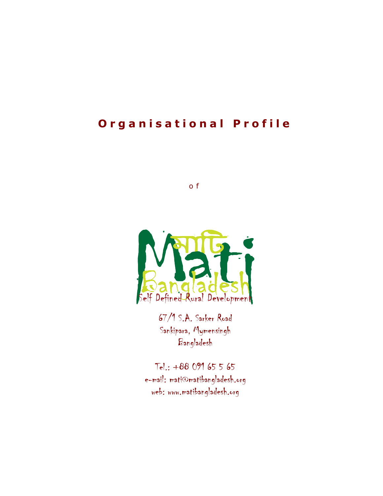# **O**rganisational Profile

o f



67/1 S.A. Sarker Road Sankipara, Mymensingh Bangladesh

Tel.: +88 091 65 5 65 e-mail: mati@matibangladesh.org web: www.matibangladesh.org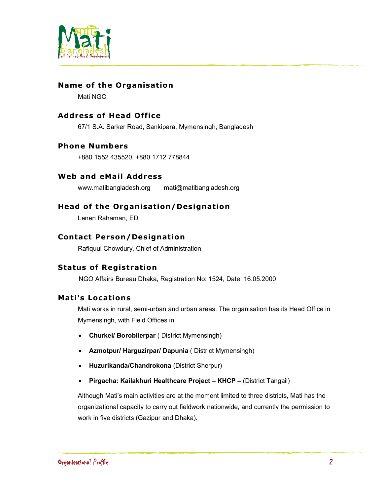

# **Name of the Organisation**

Mati NGO

## **Address of Head Office**

67/1 S.A. Sarker Road, Sankipara, Mymensingh, Bangladesh

#### **Phone Numbers**

+880 1552 435520, +880 1712 778844

## Web and eMail Address

www.matibangladesh.org mati@matibangladesh.org

## **Head of the Organisation/Designation**

Lenen Rahaman, ED

## **Contact Person/Designation**

Rafiquul Chowdury, Chief of Administration

## **Status of Registration**

NGO Affairs Bureau Dhaka, Registration No: 1524, Date: 16.05.2000

## **Mat i's Locations**

Mati works in rural, semi-urban and urban areas. The organisation has its Head Office in Mymensingh, with Field Offices in

- **Churkei/ Borobilerpar** ( District Mymensingh)
- **Azmotpur/ Harguzirpar/ Dapunia** ( District Mymensingh)
- **Huzurikanda/Chandrokona** (District Sherpur)
- **Pirgacha: Kailakhuri Healthcare Project KHCP** (District Tangail)

Although Mati's main activities are at the moment limited to three districts, Mati has the organizational capacity to carry out fieldwork nationwide, and currently the permission to work in five districts (Gazipur and Dhaka).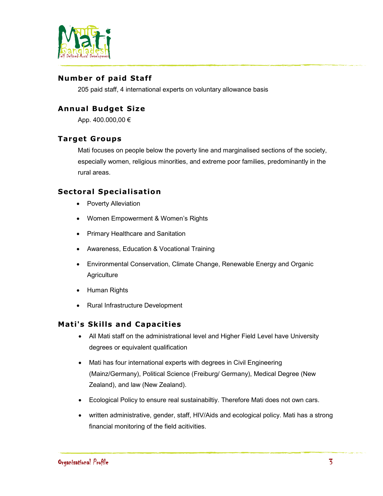

# **Number of paid Staff**

205 paid staff, 4 international experts on voluntary allowance basis

# **Annual Budget Size**

App. 400.000,00 €

## **Target Groups**

Mati focuses on people below the poverty line and marginalised sections of the society, especially women, religious minorities, and extreme poor families, predominantly in the rural areas.

## **Sectoral Specialisation**

- Poverty Alleviation
- Women Empowerment & Women's Rights
- Primary Healthcare and Sanitation
- Awareness, Education & Vocational Training
- Environmental Conservation, Climate Change, Renewable Energy and Organic **Agriculture**
- Human Rights
- Rural Infrastructure Development

## **Mati's Skills and Capacities**

- All Mati staff on the administrational level and Higher Field Level have University degrees or equivalent qualification
- Mati has four international experts with degrees in Civil Engineering (Mainz/Germany), Political Science (Freiburg/ Germany), Medical Degree (New Zealand), and law (New Zealand).
- Ecological Policy to ensure real sustainabiltiy. Therefore Mati does not own cars.
- written administrative, gender, staff, HIV/Aids and ecological policy. Mati has a strong financial monitoring of the field acitivities.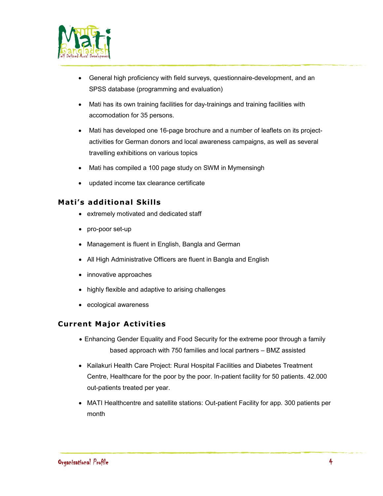

- General high proficiency with field surveys, questionnaire-development, and an SPSS database (programming and evaluation)
- Mati has its own training facilities for day-trainings and training facilities with accomodation for 35 persons.
- Mati has developed one 16-page brochure and a number of leaflets on its projectactivities for German donors and local awareness campaigns, as well as several travelling exhibitions on various topics
- Mati has compiled a 100 page study on SWM in Mymensingh
- updated income tax clearance certificate

# **Mati's additional Skills**

- extremely motivated and dedicated staff
- pro-poor set-up
- Management is fluent in English, Bangla and German
- All High Administrative Officers are fluent in Bangla and English
- innovative approaches
- highly flexible and adaptive to arising challenges
- ecological awareness

## **Current Major Activities**

- Enhancing Gender Equality and Food Security for the extreme poor through a family based approach with 750 families and local partners – BMZ assisted
- Kailakuri Health Care Project: Rural Hospital Facilities and Diabetes Treatment Centre, Healthcare for the poor by the poor. In-patient facility for 50 patients. 42.000 out-patients treated per year.
- MATI Healthcentre and satellite stations: Out-patient Facility for app. 300 patients per month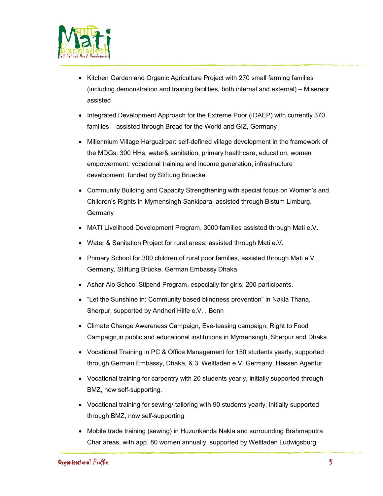

- Kitchen Garden and Organic Agriculture Project with 270 small farming families (including demonstration and training facilities, both internal and external) – Misereor assisted
- Integrated Development Approach for the Extreme Poor (IDAEP) with currently 370 families – assisted through Bread for the World and GIZ, Germany
- Millennium Village Harguzirpar: self-defined village development in the framework of the MDGs: 300 HHs, water& sanitation, primary healthcare, education, women empowerment, vocational training and income generation, infrastructure development, funded by Stiftung Bruecke
- Community Building and Capacity Strengthening with special focus on Women's and Children's Rights in Mymensingh Sankipara, assisted through Bistum Limburg, **Germany**
- MATI Livelihood Development Program, 3000 families assisted through Mati e.V.
- Water & Sanitation Project for rural areas: assisted through Mati e.V.
- Primary School for 300 children of rural poor families, assisted through Mati e.V., Germany, Stiftung Brücke, German Embassy Dhaka
- Ashar Alo School Stipend Program, especially for girls, 200 participants.
- "Let the Sunshine in: Community based blindness prevention" in Nakla Thana, Sherpur, supported by Andheri Hilfe e.V. , Bonn
- Climate Change Awareness Campaign, Eve-teasing campaign, Right to Food Campaign,in public and educational institutions in Mymensingh, Sherpur and Dhaka
- Vocational Training in PC & Office Management for 150 students yearly, supported through German Embassy, Dhaka, & 3. Weltladen e.V. Germany, Hessen Agentur
- Vocational training for carpentry with 20 students yearly, initially supported through BMZ, now self-supporting.
- Vocational training for sewing/ tailoring with 90 students yearly, initially supported through BMZ, now self-supporting
- Mobile trade training (sewing) in Huzurikanda Nakla and surrounding Brahmaputra Char areas, with app. 80 women annually, supported by Weltladen Ludwigsburg.